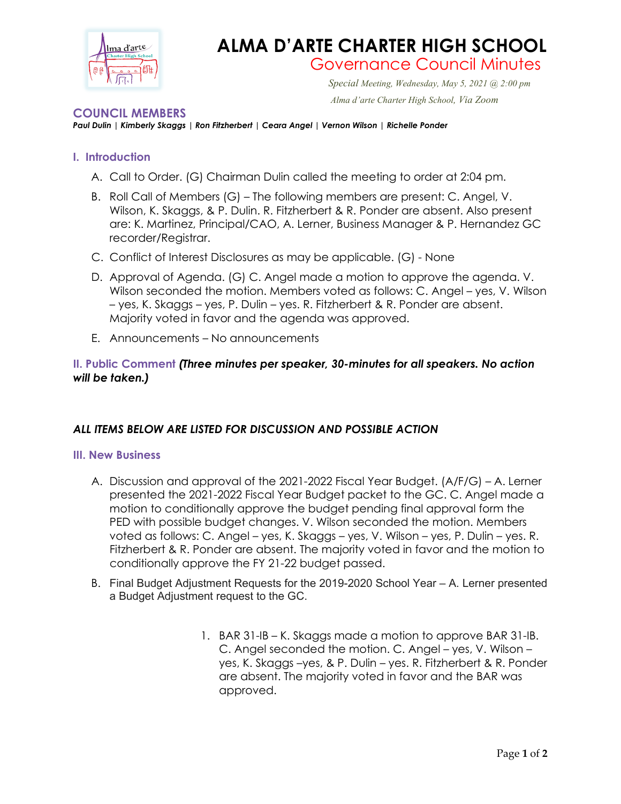

# **ALMA D'ARTE CHARTER HIGH SCHOOL** Governance Council Minutes

 *Special Meeting, Wednesday, May 5, 2021 @ 2:00 pm Alma d'arte Charter High School, Via Zoom*

### **COUNCIL MEMBERS**

*Paul Dulin | Kimberly Skaggs | Ron Fitzherbert | Ceara Angel | Vernon Wilson | Richelle Ponder*

## **I. Introduction**

- A. Call to Order. (G) Chairman Dulin called the meeting to order at 2:04 pm.
- B. Roll Call of Members (G) The following members are present: C. Angel, V. Wilson, K. Skaggs, & P. Dulin. R. Fitzherbert & R. Ponder are absent. Also present are: K. Martinez, Principal/CAO, A. Lerner, Business Manager & P. Hernandez GC recorder/Registrar.
- C. Conflict of Interest Disclosures as may be applicable. (G) None
- D. Approval of Agenda. (G) C. Angel made a motion to approve the agenda. V. Wilson seconded the motion. Members voted as follows: C. Angel – yes, V. Wilson – yes, K. Skaggs – yes, P. Dulin – yes. R. Fitzherbert & R. Ponder are absent. Majority voted in favor and the agenda was approved.
- E. Announcements No announcements

# **II. Public Comment** *(Three minutes per speaker, 30-minutes for all speakers. No action will be taken.)*

## *ALL ITEMS BELOW ARE LISTED FOR DISCUSSION AND POSSIBLE ACTION*

#### **III. New Business**

- A. Discussion and approval of the 2021-2022 Fiscal Year Budget. (A/F/G) A. Lerner presented the 2021-2022 Fiscal Year Budget packet to the GC. C. Angel made a motion to conditionally approve the budget pending final approval form the PED with possible budget changes. V. Wilson seconded the motion. Members voted as follows: C. Angel – yes, K. Skaggs – yes, V. Wilson – yes, P. Dulin – yes. R. Fitzherbert & R. Ponder are absent. The majority voted in favor and the motion to conditionally approve the FY 21-22 budget passed.
- B. Final Budget Adjustment Requests for the 2019-2020 School Year A. Lerner presented a Budget Adjustment request to the GC.
	- 1. BAR 31-IB K. Skaggs made a motion to approve BAR 31-IB. C. Angel seconded the motion. C. Angel – yes, V. Wilson – yes, K. Skaggs –yes, & P. Dulin – yes. R. Fitzherbert & R. Ponder are absent. The majority voted in favor and the BAR was approved.